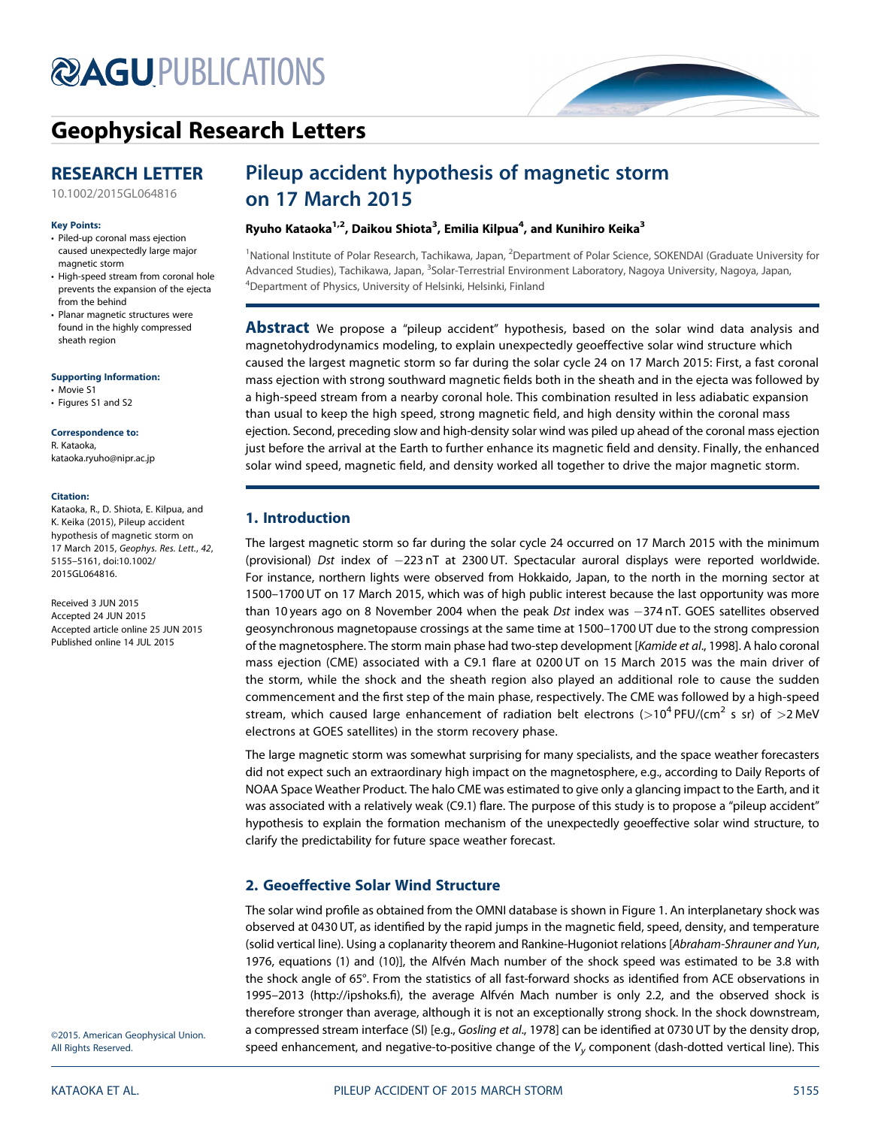# **@AGU[PUBLICATIONS](http://publications.agu.org/journals/)**



# [Geophysical Research Letters](http://onlinelibrary.wiley.com/journal/10.1002/(ISSN)1944-8007)

# RESEARCH LETTER

[10.1002/2015GL064816](http://dx.doi.org/10.1002/2015GL064816)

#### Key Points:

- Piled-up coronal mass ejection caused unexpectedly large major magnetic storm
- High-speed stream from coronal hole prevents the expansion of the ejecta from the behind
- Planar magnetic structures were found in the highly compressed sheath region

Supporting Information:

- Movie S1
- Figures S1 and S2

#### Correspondence to:

R. Kataoka, kataoka.ryuho@nipr.ac.jp

#### Citation:

Kataoka, R., D. Shiota, E. Kilpua, and K. Keika (2015), Pileup accident hypothesis of magnetic storm on 17 March 2015, Geophys. Res. Lett., 42, 5155–5161, doi:10.1002/ 2015GL064816.

Received 3 JUN 2015 Accepted 24 JUN 2015 Accepted article online 25 JUN 2015 Published online 14 JUL 2015

# Pileup accident hypothesis of magnetic storm on 17 March 2015

## Ryuho Kataoka<sup>1,2</sup>, Daikou Shiota<sup>3</sup>, Emilia Kilpua<sup>4</sup>, and Kunihiro Keika<sup>3</sup>

<sup>1</sup>National Institute of Polar Research, Tachikawa, Japan, <sup>2</sup>Department of Polar Science, SOKENDAI (Graduate University for Advanced Studies), Tachikawa, Japan, <sup>3</sup>Solar-Terrestrial Environment Laboratory, Nagoya University, Nagoya, Japan, <sup>4</sup>Department of Physics, University of Helsinki, Helsinki, Finland

**Abstract** We propose a "pileup accident" hypothesis, based on the solar wind data analysis and magnetohydrodynamics modeling, to explain unexpectedly geoeffective solar wind structure which caused the largest magnetic storm so far during the solar cycle 24 on 17 March 2015: First, a fast coronal mass ejection with strong southward magnetic fields both in the sheath and in the ejecta was followed by a high-speed stream from a nearby coronal hole. This combination resulted in less adiabatic expansion than usual to keep the high speed, strong magnetic field, and high density within the coronal mass ejection. Second, preceding slow and high-density solar wind was piled up ahead of the coronal mass ejection just before the arrival at the Earth to further enhance its magnetic field and density. Finally, the enhanced solar wind speed, magnetic field, and density worked all together to drive the major magnetic storm.

# 1. Introduction

The largest magnetic storm so far during the solar cycle 24 occurred on 17 March 2015 with the minimum (provisional) Dst index of 223 nT at 2300 UT. Spectacular auroral displays were reported worldwide. For instance, northern lights were observed from Hokkaido, Japan, to the north in the morning sector at 1500–1700 UT on 17 March 2015, which was of high public interest because the last opportunity was more than 10 years ago on 8 November 2004 when the peak Dst index was -374 nT. GOES satellites observed geosynchronous magnetopause crossings at the same time at 1500–1700 UT due to the strong compression of the magnetosphere. The storm main phase had two-step development [Kamide et al., 1998]. A halo coronal mass ejection (CME) associated with a C9.1 flare at 0200 UT on 15 March 2015 was the main driver of the storm, while the shock and the sheath region also played an additional role to cause the sudden commencement and the first step of the main phase, respectively. The CME was followed by a high-speed stream, which caused large enhancement of radiation belt electrons ( $>10^4$  PFU/(cm<sup>2</sup> s sr) of  $>2$  MeV electrons at GOES satellites) in the storm recovery phase.

The large magnetic storm was somewhat surprising for many specialists, and the space weather forecasters did not expect such an extraordinary high impact on the magnetosphere, e.g., according to Daily Reports of NOAA Space Weather Product. The halo CME was estimated to give only a glancing impact to the Earth, and it was associated with a relatively weak (C9.1) flare. The purpose of this study is to propose a "pileup accident" hypothesis to explain the formation mechanism of the unexpectedly geoeffective solar wind structure, to clarify the predictability for future space weather forecast.

# 2. Geoeffective Solar Wind Structure

The solar wind profile as obtained from the OMNI database is shown in Figure 1. An interplanetary shock was observed at 0430 UT, as identified by the rapid jumps in the magnetic field, speed, density, and temperature (solid vertical line). Using a coplanarity theorem and Rankine-Hugoniot relations [Abraham-Shrauner and Yun, 1976, equations (1) and (10)], the Alfvén Mach number of the shock speed was estimated to be 3.8 with the shock angle of 65°. From the statistics of all fast-forward shocks as identified from ACE observations in 1995–2013 [\(http://ipshoks.](http://ipshoks.fi)fi), the average Alfvén Mach number is only 2.2, and the observed shock is therefore stronger than average, although it is not an exceptionally strong shock. In the shock downstream, a compressed stream interface (SI) [e.g., Gosling et al., 1978] can be identified at 0730 UT by the density drop, speed enhancement, and negative-to-positive change of the  $V_v$  component (dash-dotted vertical line). This

©2015. American Geophysical Union. All Rights Reserved.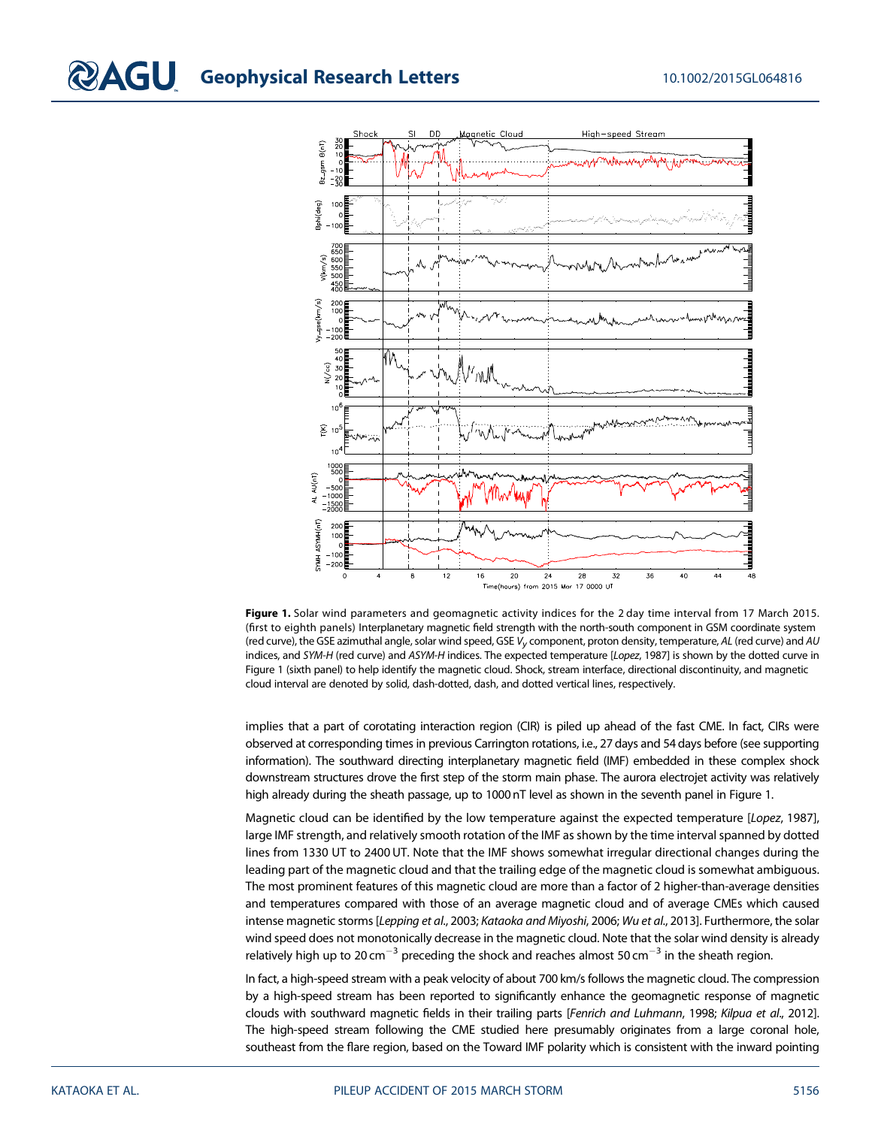

Figure 1. Solar wind parameters and geomagnetic activity indices for the 2 day time interval from 17 March 2015. (first to eighth panels) Interplanetary magnetic field strength with the north-south component in GSM coordinate system (red curve), the GSE azimuthal angle, solar wind speed, GSE  $V_v$  component, proton density, temperature, AL (red curve) and AU indices, and SYM-H (red curve) and ASYM-H indices. The expected temperature [Lopez, 1987] is shown by the dotted curve in Figure 1 (sixth panel) to help identify the magnetic cloud. Shock, stream interface, directional discontinuity, and magnetic cloud interval are denoted by solid, dash-dotted, dash, and dotted vertical lines, respectively.

implies that a part of corotating interaction region (CIR) is piled up ahead of the fast CME. In fact, CIRs were observed at corresponding times in previous Carrington rotations, i.e., 27 days and 54 days before (see supporting information). The southward directing interplanetary magnetic field (IMF) embedded in these complex shock downstream structures drove the first step of the storm main phase. The aurora electrojet activity was relatively high already during the sheath passage, up to 1000 nT level as shown in the seventh panel in Figure 1.

Magnetic cloud can be identified by the low temperature against the expected temperature [Lopez, 1987], large IMF strength, and relatively smooth rotation of the IMF as shown by the time interval spanned by dotted lines from 1330 UT to 2400 UT. Note that the IMF shows somewhat irregular directional changes during the leading part of the magnetic cloud and that the trailing edge of the magnetic cloud is somewhat ambiguous. The most prominent features of this magnetic cloud are more than a factor of 2 higher-than-average densities and temperatures compared with those of an average magnetic cloud and of average CMEs which caused intense magnetic storms [Lepping et al., 2003; Kataoka and Miyoshi, 2006; Wu et al., 2013]. Furthermore, the solar wind speed does not monotonically decrease in the magnetic cloud. Note that the solar wind density is already relatively high up to 20 cm<sup>-3</sup> preceding the shock and reaches almost 50 cm<sup>-3</sup> in the sheath region.

In fact, a high-speed stream with a peak velocity of about 700 km/s follows the magnetic cloud. The compression by a high-speed stream has been reported to significantly enhance the geomagnetic response of magnetic clouds with southward magnetic fields in their trailing parts [Fenrich and Luhmann, 1998; Kilpua et al., 2012]. The high-speed stream following the CME studied here presumably originates from a large coronal hole, southeast from the flare region, based on the Toward IMF polarity which is consistent with the inward pointing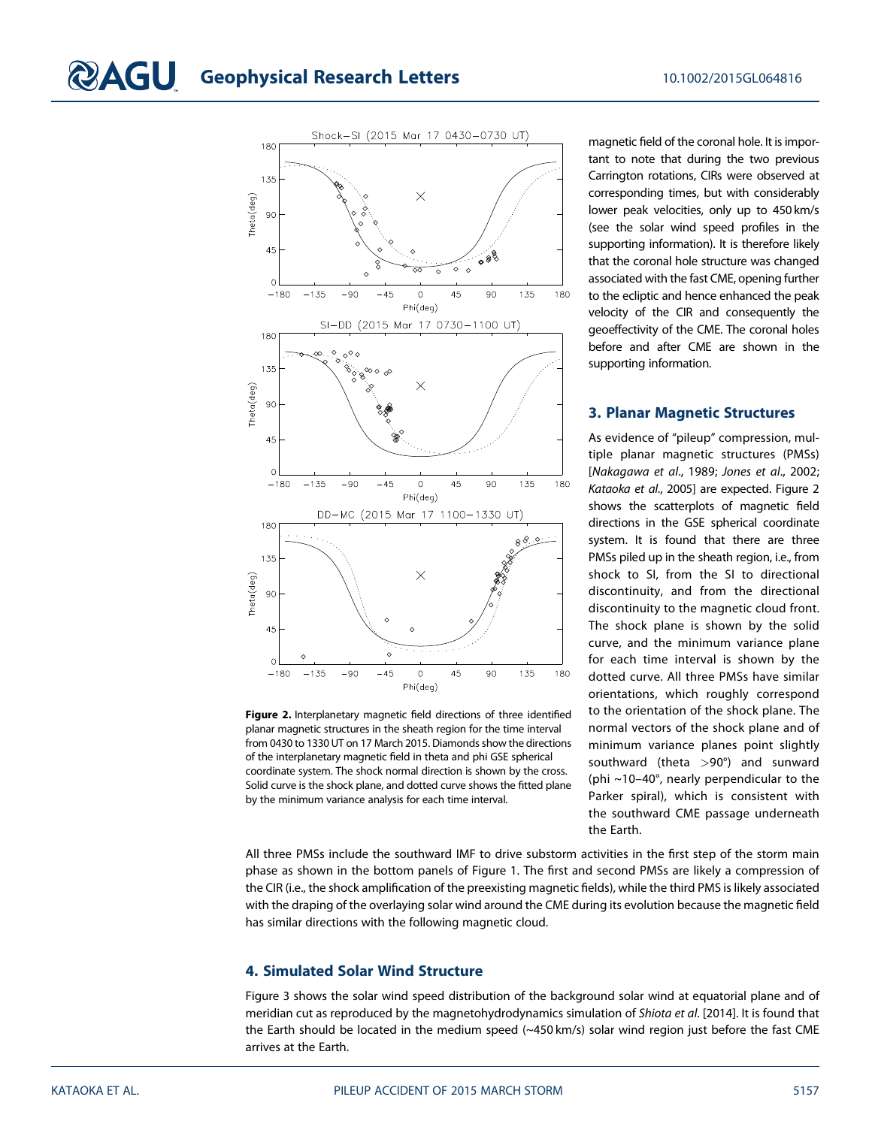

Figure 2. Interplanetary magnetic field directions of three identified planar magnetic structures in the sheath region for the time interval from 0430 to 1330 UT on 17 March 2015. Diamonds show the directions of the interplanetary magnetic field in theta and phi GSE spherical coordinate system. The shock normal direction is shown by the cross. Solid curve is the shock plane, and dotted curve shows the fitted plane by the minimum variance analysis for each time interval.

magnetic field of the coronal hole. It is important to note that during the two previous Carrington rotations, CIRs were observed at corresponding times, but with considerably lower peak velocities, only up to 450 km/s (see the solar wind speed profiles in the supporting information). It is therefore likely that the coronal hole structure was changed associated with the fast CME, opening further to the ecliptic and hence enhanced the peak velocity of the CIR and consequently the geoeffectivity of the CME. The coronal holes before and after CME are shown in the supporting information.

### 3. Planar Magnetic Structures

As evidence of "pileup" compression, multiple planar magnetic structures (PMSs) [Nakagawa et al., 1989; Jones et al., 2002; Kataoka et al., 2005] are expected. Figure 2 shows the scatterplots of magnetic field directions in the GSE spherical coordinate system. It is found that there are three PMSs piled up in the sheath region, i.e., from shock to SI, from the SI to directional discontinuity, and from the directional discontinuity to the magnetic cloud front. The shock plane is shown by the solid curve, and the minimum variance plane for each time interval is shown by the dotted curve. All three PMSs have similar orientations, which roughly correspond to the orientation of the shock plane. The normal vectors of the shock plane and of minimum variance planes point slightly southward (theta >90°) and sunward (phi ~10–40°, nearly perpendicular to the Parker spiral), which is consistent with the southward CME passage underneath the Earth.

All three PMSs include the southward IMF to drive substorm activities in the first step of the storm main phase as shown in the bottom panels of Figure 1. The first and second PMSs are likely a compression of the CIR (i.e., the shock amplification of the preexisting magnetic fields), while the third PMS is likely associated with the draping of the overlaying solar wind around the CME during its evolution because the magnetic field has similar directions with the following magnetic cloud.

## 4. Simulated Solar Wind Structure

Figure 3 shows the solar wind speed distribution of the background solar wind at equatorial plane and of meridian cut as reproduced by the magnetohydrodynamics simulation of Shiota et al. [2014]. It is found that the Earth should be located in the medium speed (~450 km/s) solar wind region just before the fast CME arrives at the Earth.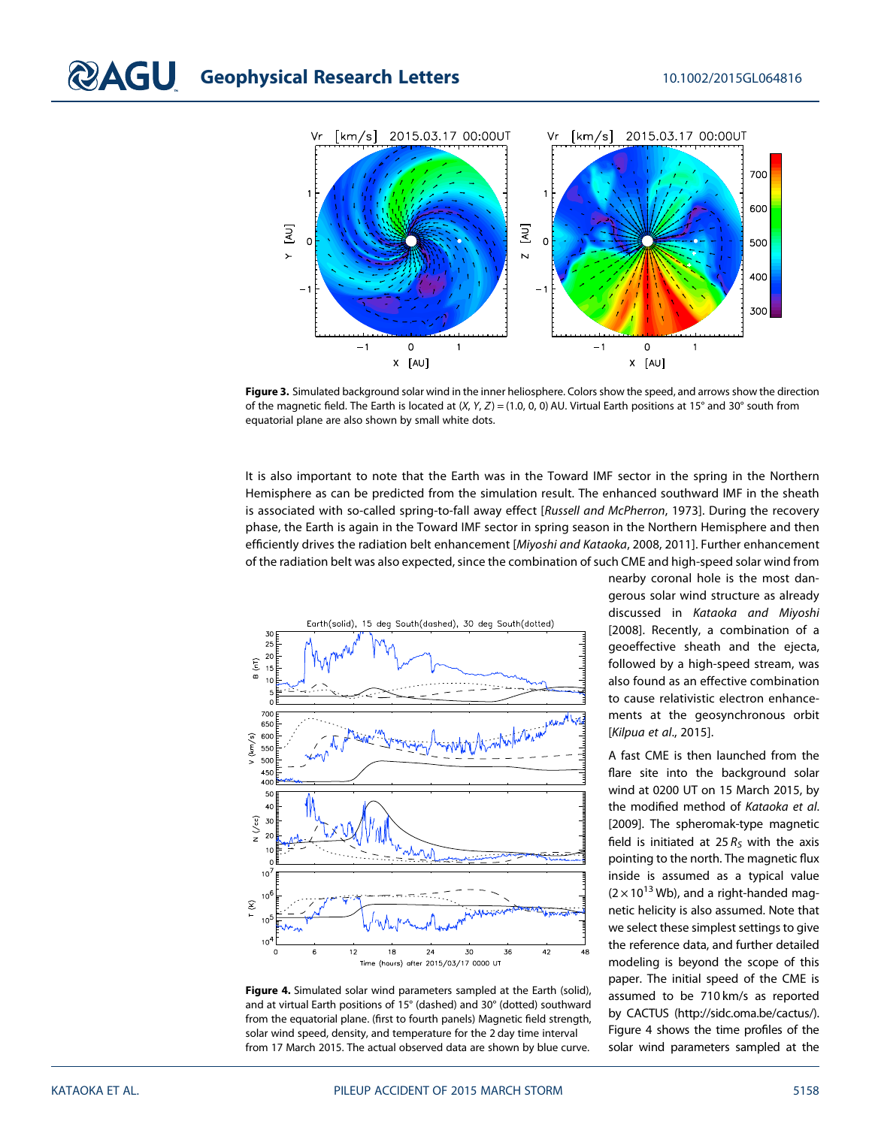

Figure 3. Simulated background solar wind in the inner heliosphere. Colors show the speed, and arrows show the direction of the magnetic field. The Earth is located at  $(X, Y, Z) = (1.0, 0, 0)$  AU. Virtual Earth positions at 15° and 30° south from equatorial plane are also shown by small white dots.

It is also important to note that the Earth was in the Toward IMF sector in the spring in the Northern Hemisphere as can be predicted from the simulation result. The enhanced southward IMF in the sheath is associated with so-called spring-to-fall away effect [Russell and McPherron, 1973]. During the recovery phase, the Earth is again in the Toward IMF sector in spring season in the Northern Hemisphere and then efficiently drives the radiation belt enhancement [Miyoshi and Kataoka, 2008, 2011]. Further enhancement of the radiation belt was also expected, since the combination of such CME and high-speed solar wind from



Figure 4. Simulated solar wind parameters sampled at the Earth (solid), and at virtual Earth positions of 15° (dashed) and 30° (dotted) southward from the equatorial plane. (first to fourth panels) Magnetic field strength, solar wind speed, density, and temperature for the 2 day time interval from 17 March 2015. The actual observed data are shown by blue curve.

nearby coronal hole is the most dangerous solar wind structure as already discussed in Kataoka and Miyoshi [2008]. Recently, a combination of a geoeffective sheath and the ejecta, followed by a high-speed stream, was also found as an effective combination to cause relativistic electron enhancements at the geosynchronous orbit [Kilpua et al., 2015].

A fast CME is then launched from the flare site into the background solar wind at 0200 UT on 15 March 2015, by the modified method of Kataoka et al. [2009]. The spheromak-type magnetic field is initiated at 25  $R_s$  with the axis pointing to the north. The magnetic flux inside is assumed as a typical value  $(2 \times 10^{13}$  Wb), and a right-handed magnetic helicity is also assumed. Note that we select these simplest settings to give the reference data, and further detailed modeling is beyond the scope of this paper. The initial speed of the CME is assumed to be 710 km/s as reported by CACTUS [\(http://sidc.oma.be/cactus/](http://sidc.oma.be/cactus/)). Figure 4 shows the time profiles of the solar wind parameters sampled at the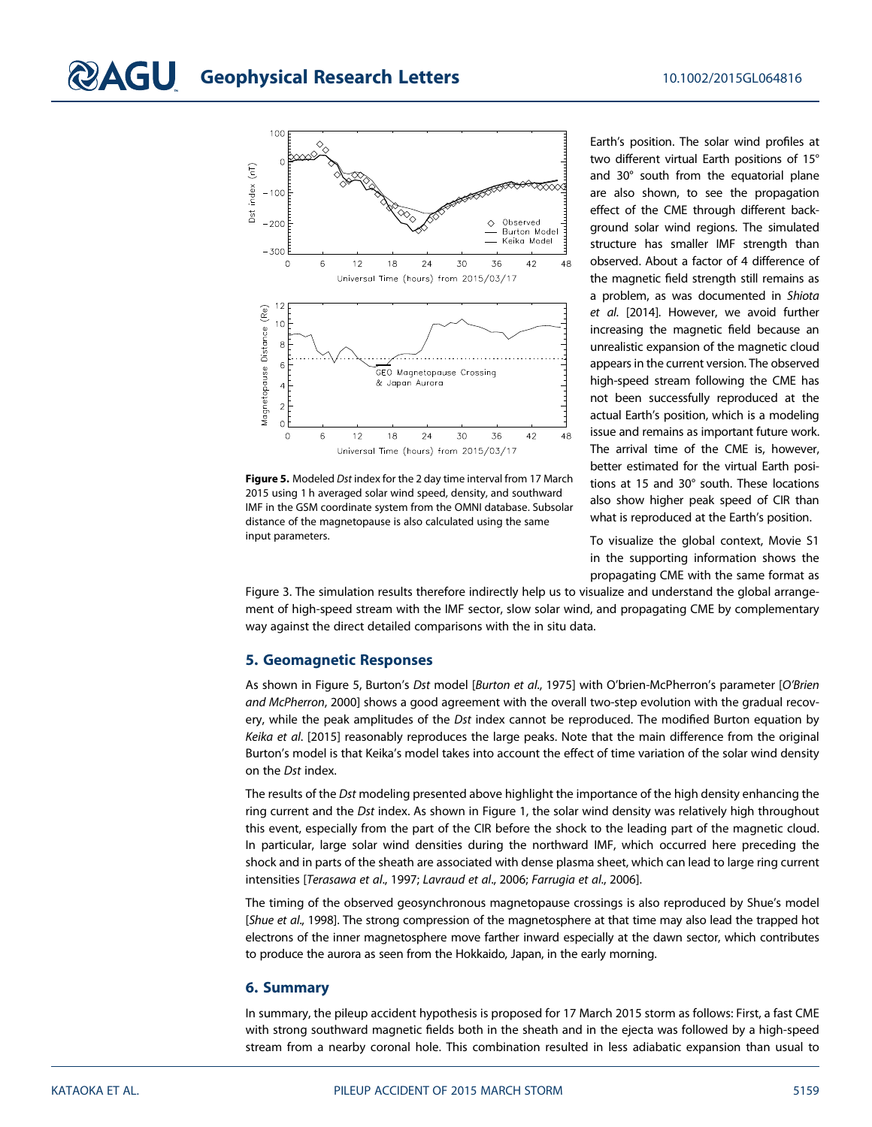

Figure 5. Modeled Dst index for the 2 day time interval from 17 March 2015 using 1 h averaged solar wind speed, density, and southward IMF in the GSM coordinate system from the OMNI database. Subsolar distance of the magnetopause is also calculated using the same input parameters.

Earth's position. The solar wind profiles at two different virtual Earth positions of 15° and 30° south from the equatorial plane are also shown, to see the propagation effect of the CME through different background solar wind regions. The simulated structure has smaller IMF strength than observed. About a factor of 4 difference of the magnetic field strength still remains as a problem, as was documented in Shiota et al. [2014]. However, we avoid further increasing the magnetic field because an unrealistic expansion of the magnetic cloud appears in the current version. The observed high-speed stream following the CME has not been successfully reproduced at the actual Earth's position, which is a modeling issue and remains as important future work. The arrival time of the CME is, however, better estimated for the virtual Earth positions at 15 and 30° south. These locations also show higher peak speed of CIR than what is reproduced at the Earth's position.

To visualize the global context, Movie S1 in the supporting information shows the propagating CME with the same format as

Figure 3. The simulation results therefore indirectly help us to visualize and understand the global arrangement of high-speed stream with the IMF sector, slow solar wind, and propagating CME by complementary way against the direct detailed comparisons with the in situ data.

#### 5. Geomagnetic Responses

As shown in Figure 5, Burton's Dst model [Burton et al., 1975] with O'brien-McPherron's parameter [O'Brien and McPherron, 2000] shows a good agreement with the overall two-step evolution with the gradual recovery, while the peak amplitudes of the Dst index cannot be reproduced. The modified Burton equation by Keika et al. [2015] reasonably reproduces the large peaks. Note that the main difference from the original Burton's model is that Keika's model takes into account the effect of time variation of the solar wind density on the Dst index.

The results of the Dst modeling presented above highlight the importance of the high density enhancing the ring current and the Dst index. As shown in Figure 1, the solar wind density was relatively high throughout this event, especially from the part of the CIR before the shock to the leading part of the magnetic cloud. In particular, large solar wind densities during the northward IMF, which occurred here preceding the shock and in parts of the sheath are associated with dense plasma sheet, which can lead to large ring current intensities [Terasawa et al., 1997; Lavraud et al., 2006; Farrugia et al., 2006].

The timing of the observed geosynchronous magnetopause crossings is also reproduced by Shue's model [Shue et al., 1998]. The strong compression of the magnetosphere at that time may also lead the trapped hot electrons of the inner magnetosphere move farther inward especially at the dawn sector, which contributes to produce the aurora as seen from the Hokkaido, Japan, in the early morning.

#### 6. Summary

In summary, the pileup accident hypothesis is proposed for 17 March 2015 storm as follows: First, a fast CME with strong southward magnetic fields both in the sheath and in the ejecta was followed by a high-speed stream from a nearby coronal hole. This combination resulted in less adiabatic expansion than usual to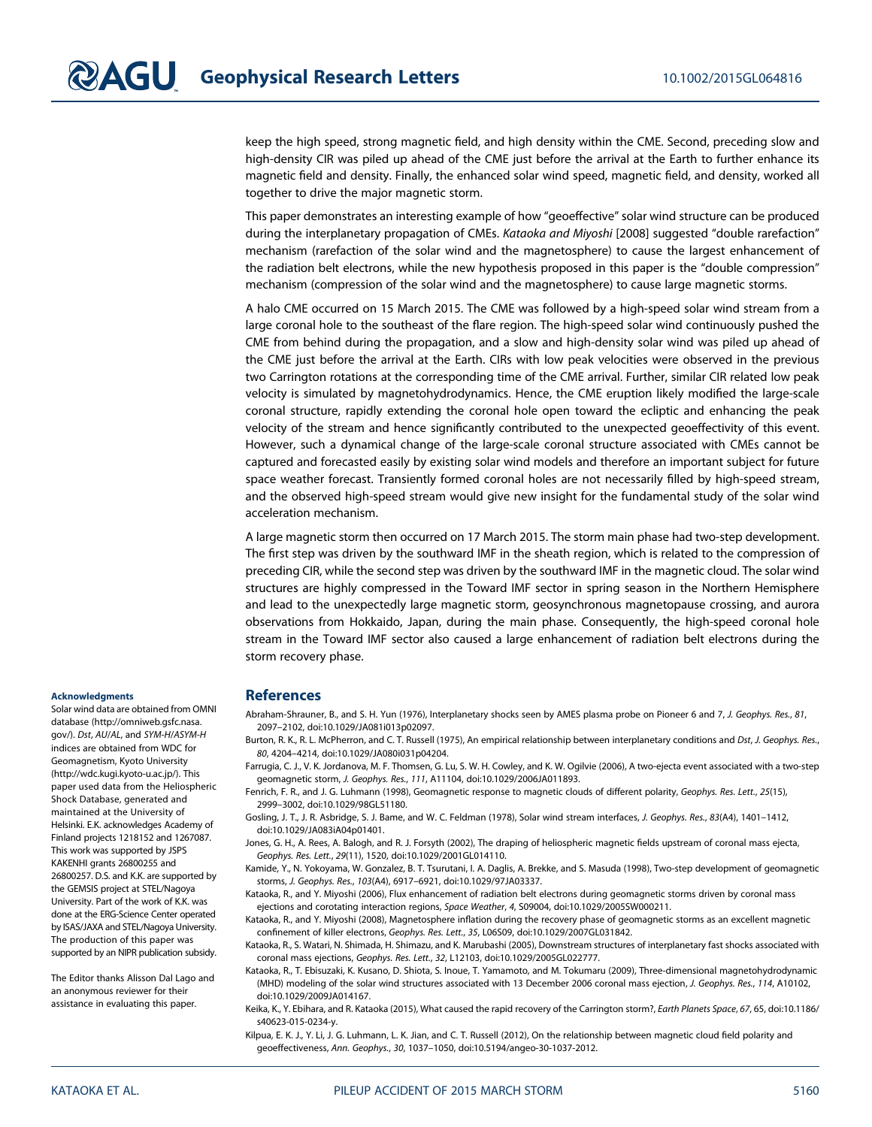keep the high speed, strong magnetic field, and high density within the CME. Second, preceding slow and high-density CIR was piled up ahead of the CME just before the arrival at the Earth to further enhance its magnetic field and density. Finally, the enhanced solar wind speed, magnetic field, and density, worked all together to drive the major magnetic storm.

This paper demonstrates an interesting example of how "geoeffective" solar wind structure can be produced during the interplanetary propagation of CMEs. Kataoka and Miyoshi [2008] suggested "double rarefaction" mechanism (rarefaction of the solar wind and the magnetosphere) to cause the largest enhancement of the radiation belt electrons, while the new hypothesis proposed in this paper is the "double compression" mechanism (compression of the solar wind and the magnetosphere) to cause large magnetic storms.

A halo CME occurred on 15 March 2015. The CME was followed by a high-speed solar wind stream from a large coronal hole to the southeast of the flare region. The high-speed solar wind continuously pushed the CME from behind during the propagation, and a slow and high-density solar wind was piled up ahead of the CME just before the arrival at the Earth. CIRs with low peak velocities were observed in the previous two Carrington rotations at the corresponding time of the CME arrival. Further, similar CIR related low peak velocity is simulated by magnetohydrodynamics. Hence, the CME eruption likely modified the large-scale coronal structure, rapidly extending the coronal hole open toward the ecliptic and enhancing the peak velocity of the stream and hence significantly contributed to the unexpected geoeffectivity of this event. However, such a dynamical change of the large-scale coronal structure associated with CMEs cannot be captured and forecasted easily by existing solar wind models and therefore an important subject for future space weather forecast. Transiently formed coronal holes are not necessarily filled by high-speed stream, and the observed high-speed stream would give new insight for the fundamental study of the solar wind acceleration mechanism.

A large magnetic storm then occurred on 17 March 2015. The storm main phase had two-step development. The first step was driven by the southward IMF in the sheath region, which is related to the compression of preceding CIR, while the second step was driven by the southward IMF in the magnetic cloud. The solar wind structures are highly compressed in the Toward IMF sector in spring season in the Northern Hemisphere and lead to the unexpectedly large magnetic storm, geosynchronous magnetopause crossing, and aurora observations from Hokkaido, Japan, during the main phase. Consequently, the high-speed coronal hole stream in the Toward IMF sector also caused a large enhancement of radiation belt electrons during the storm recovery phase.

#### Acknowledgments

Solar wind data are obtained from OMNI database [\(http://omniweb.gsfc.nasa.](http://omniweb.gsfc.nasa.gov/) [gov/](http://omniweb.gsfc.nasa.gov/)). Dst, AU/AL, and SYM-H/ASYM-H indices are obtained from WDC for Geomagnetism, Kyoto University (<http://wdc.kugi.kyoto-u.ac.jp/>). This paper used data from the Heliospheric Shock Database, generated and maintained at the University of Helsinki. E.K. acknowledges Academy of Finland projects 1218152 and 1267087. This work was supported by JSPS KAKENHI grants 26800255 and 26800257. D.S. and K.K. are supported by the GEMSIS project at STEL/Nagoya University. Part of the work of K.K. was done at the ERG-Science Center operated by ISAS/JAXA and STEL/Nagoya University. The production of this paper was supported by an NIPR publication subsidy.

The Editor thanks Alisson Dal Lago and an anonymous reviewer for their assistance in evaluating this paper.

### **References**

Abraham-Shrauner, B., and S. H. Yun (1976), Interplanetary shocks seen by AMES plasma probe on Pioneer 6 and 7, J. Geophys. Res., 81, 2097–2102, doi:[10.1029/JA081i013p02097.](http://dx.doi.org/10.1029/JA081i013p02097)

Burton, R. K., R. L. McPherron, and C. T. Russell (1975), An empirical relationship between interplanetary conditions and Dst, J. Geophys. Res., 80, 4204–4214, doi:[10.1029/JA080i031p04204.](http://dx.doi.org/10.1029/JA080i031p04204)

Farrugia, C. J., V. K. Jordanova, M. F. Thomsen, G. Lu, S. W. H. Cowley, and K. W. Ogilvie (2006), A two-ejecta event associated with a two-step geomagnetic storm, J. Geophys. Res., 111, A11104, doi[:10.1029/2006JA011893](http://dx.doi.org/10.1029/2006JA011893).

Fenrich, F. R., and J. G. Luhmann (1998), Geomagnetic response to magnetic clouds of different polarity, Geophys. Res. Lett., 25(15), 2999–3002, doi:[10.1029/98GL51180.](http://dx.doi.org/10.1029/98GL51180)

Jones, G. H., A. Rees, A. Balogh, and R. J. Forsyth (2002), The draping of heliospheric magnetic fields upstream of coronal mass ejecta, Geophys. Res. Lett., 29(11), 1520, doi:[10.1029/2001GL014110](http://dx.doi.org/10.1029/2001GL014110).

Kamide, Y., N. Yokoyama, W. Gonzalez, B. T. Tsurutani, I. A. Daglis, A. Brekke, and S. Masuda (1998), Two-step development of geomagnetic storms, J. Geophys. Res., 103(A4), 6917–6921, doi[:10.1029/97JA03337](http://dx.doi.org/10.1029/97JA03337).

Kataoka, R., and Y. Miyoshi (2006), Flux enhancement of radiation belt electrons during geomagnetic storms driven by coronal mass ejections and corotating interaction regions, Space Weather, 4, S09004, doi:[10.1029/2005SW000211](http://dx.doi.org/10.1029/2005SW000211).

Kataoka, R., and Y. Miyoshi (2008), Magnetosphere inflation during the recovery phase of geomagnetic storms as an excellent magnetic confinement of killer electrons, Geophys. Res. Lett., 35, L06S09, doi:[10.1029/2007GL031842.](http://dx.doi.org/10.1029/2007GL031842)

Kataoka, R., S. Watari, N. Shimada, H. Shimazu, and K. Marubashi (2005), Downstream structures of interplanetary fast shocks associated with coronal mass ejections, Geophys. Res. Lett., 32, L12103, doi[:10.1029/2005GL022777.](http://dx.doi.org/10.1029/2005GL022777)

Kataoka, R., T. Ebisuzaki, K. Kusano, D. Shiota, S. Inoue, T. Yamamoto, and M. Tokumaru (2009), Three-dimensional magnetohydrodynamic (MHD) modeling of the solar wind structures associated with 13 December 2006 coronal mass ejection, J. Geophys. Res., 114, A10102, doi[:10.1029/2009JA014167](http://dx.doi.org/10.1029/2009JA014167).

Keika, K., Y. Ebihara, and R. Kataoka (2015), What caused the rapid recovery of the Carrington storm?, Earth Planets Space, 67, 65, doi[:10.1186/](http://dx.doi.org/10.1186/s40623-015-0234-y) [s40623-015-0234-y.](http://dx.doi.org/10.1186/s40623-015-0234-y)

Kilpua, E. K. J., Y. Li, J. G. Luhmann, L. K. Jian, and C. T. Russell (2012), On the relationship between magnetic cloud field polarity and geoeffectiveness, Ann. Geophys., 30, 1037–1050, doi:[10.5194/angeo-30-1037-2012.](http://dx.doi.org/10.5194/angeo-30-1037-2012)

Gosling, J. T., J. R. Asbridge, S. J. Bame, and W. C. Feldman (1978), Solar wind stream interfaces, J. Geophys. Res., 83(A4), 1401–1412, doi[:10.1029/JA083iA04p01401.](http://dx.doi.org/10.1029/JA083iA04p01401)